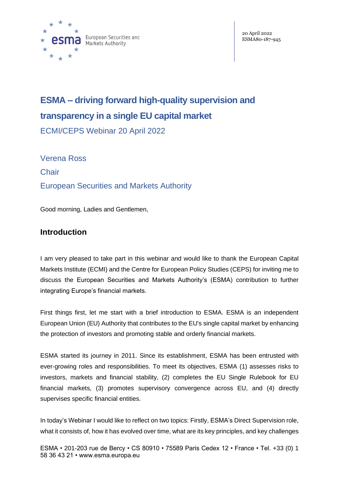

# **ESMA – driving forward high-quality supervision and transparency in a single EU capital market**

ECMI/CEPS Webinar 20 April 2022

Verena Ross **Chair** European Securities and Markets Authority

Good morning, Ladies and Gentlemen,

# **Introduction**

I am very pleased to take part in this webinar and would like to thank the European Capital Markets Institute (ECMI) and the Centre for European Policy Studies (CEPS) for inviting me to discuss the European Securities and Markets Authority's (ESMA) contribution to further integrating Europe's financial markets.

First things first, let me start with a brief introduction to ESMA. ESMA is an independent European Union (EU) Authority that contributes to the EU's single capital market by enhancing the protection of investors and promoting stable and orderly financial markets.

ESMA started its journey in 2011. Since its establishment, ESMA has been entrusted with ever-growing roles and responsibilities. To meet its objectives, ESMA (1) assesses risks to investors, markets and financial stability, (2) completes the EU Single Rulebook for EU financial markets, (3) promotes supervisory convergence across EU, and (4) directly supervises specific financial entities.

In today's Webinar I would like to reflect on two topics: Firstly, ESMA's Direct Supervision role, what it consists of, how it has evolved over time, what are its key principles, and key challenges

ESMA • 201-203 rue de Bercy • CS 80910 • 75589 Paris Cedex 12 • France • Tel. +33 (0) 1 58 36 43 21 • www.esma.europa.eu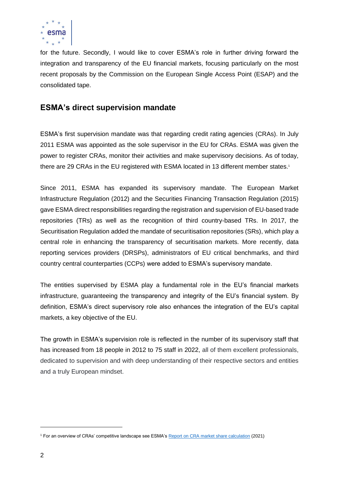

for the future. Secondly, I would like to cover ESMA's role in further driving forward the integration and transparency of the EU financial markets, focusing particularly on the most recent proposals by the Commission on the European Single Access Point (ESAP) and the consolidated tape.

## **ESMA's direct supervision mandate**

ESMA's first supervision mandate was that regarding credit rating agencies (CRAs). In July 2011 ESMA was appointed as the sole supervisor in the EU for CRAs. ESMA was given the power to register CRAs, monitor their activities and make supervisory decisions. As of today, there are 29 CRAs in the EU registered with ESMA located in 13 different member states.<sup>1</sup>

Since 2011, ESMA has expanded its supervisory mandate. The European Market Infrastructure Regulation (2012) and the Securities Financing Transaction Regulation (2015) gave ESMA direct responsibilities regarding the registration and supervision of EU-based trade repositories (TRs) as well as the recognition of third country-based TRs. In 2017, the Securitisation Regulation added the mandate of securitisation repositories (SRs), which play a central role in enhancing the transparency of securitisation markets. More recently, data reporting services providers (DRSPs), administrators of EU critical benchmarks, and third country central counterparties (CCPs) were added to ESMA's supervisory mandate.

The entities supervised by ESMA play a fundamental role in the EU's financial markets infrastructure, guaranteeing the transparency and integrity of the EU's financial system. By definition, ESMA's direct supervisory role also enhances the integration of the EU's capital markets, a key objective of the EU.

The growth in ESMA's supervision role is reflected in the number of its supervisory staff that has increased from 18 people in 2012 to 75 staff in 2022, all of them excellent professionals, dedicated to supervision and with deep understanding of their respective sectors and entities and a truly European mindset.

<sup>1</sup> For an overview of CRAs' competitive landscape see ESMA's [Report on CRA market share calculation](https://www.esma.europa.eu/sites/default/files/library/esma80-416-197_report_on_cra_market_share_calculation.pdf) (2021)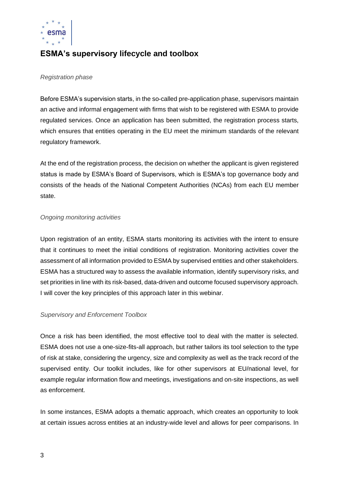

# **ESMA's supervisory lifecycle and toolbox**

#### *Registration phase*

Before ESMA's supervision starts, in the so-called pre-application phase, supervisors maintain an active and informal engagement with firms that wish to be registered with ESMA to provide regulated services. Once an application has been submitted, the registration process starts, which ensures that entities operating in the EU meet the minimum standards of the relevant regulatory framework.

At the end of the registration process, the decision on whether the applicant is given registered status is made by ESMA's Board of Supervisors, which is ESMA's top governance body and consists of the heads of the National Competent Authorities (NCAs) from each EU member state.

#### *Ongoing monitoring activities*

Upon registration of an entity, ESMA starts monitoring its activities with the intent to ensure that it continues to meet the initial conditions of registration. Monitoring activities cover the assessment of all information provided to ESMA by supervised entities and other stakeholders. ESMA has a structured way to assess the available information, identify supervisory risks, and set priorities in line with its risk-based, data-driven and outcome focused supervisory approach. I will cover the key principles of this approach later in this webinar.

#### *Supervisory and Enforcement Toolbox*

Once a risk has been identified, the most effective tool to deal with the matter is selected. ESMA does not use a one-size-fits-all approach, but rather tailors its tool selection to the type of risk at stake, considering the urgency, size and complexity as well as the track record of the supervised entity. Our toolkit includes, like for other supervisors at EU/national level, for example regular information flow and meetings, investigations and on-site inspections, as well as enforcement.

In some instances, ESMA adopts a thematic approach, which creates an opportunity to look at certain issues across entities at an industry-wide level and allows for peer comparisons. In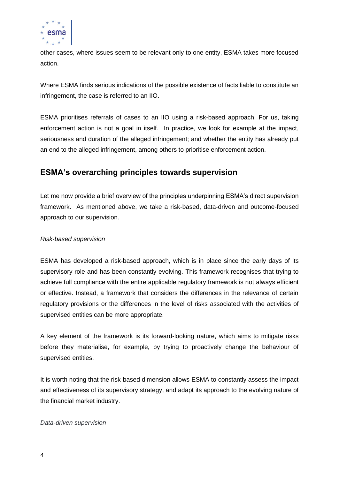

other cases, where issues seem to be relevant only to one entity, ESMA takes more focused action.

Where ESMA finds serious indications of the possible existence of facts liable to constitute an infringement, the case is referred to an IIO.

ESMA prioritises referrals of cases to an IIO using a risk-based approach. For us, taking enforcement action is not a goal in itself. In practice, we look for example at the impact, seriousness and duration of the alleged infringement; and whether the entity has already put an end to the alleged infringement, among others to prioritise enforcement action.

# **ESMA's overarching principles towards supervision**

Let me now provide a brief overview of the principles underpinning ESMA's direct supervision framework. As mentioned above, we take a risk-based, data-driven and outcome-focused approach to our supervision.

### *Risk-based supervision*

ESMA has developed a risk-based approach, which is in place since the early days of its supervisory role and has been constantly evolving. This framework recognises that trying to achieve full compliance with the entire applicable regulatory framework is not always efficient or effective. Instead, a framework that considers the differences in the relevance of certain regulatory provisions or the differences in the level of risks associated with the activities of supervised entities can be more appropriate.

A key element of the framework is its forward-looking nature, which aims to mitigate risks before they materialise, for example, by trying to proactively change the behaviour of supervised entities.

It is worth noting that the risk-based dimension allows ESMA to constantly assess the impact and effectiveness of its supervisory strategy, and adapt its approach to the evolving nature of the financial market industry.

#### *Data-driven supervision*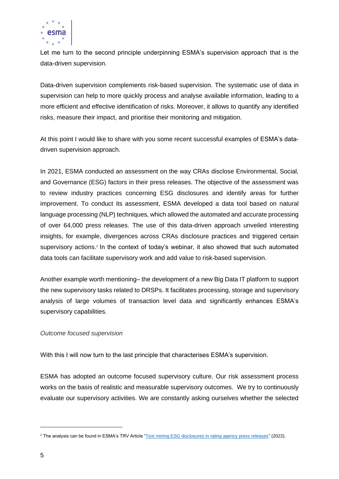

Let me turn to the second principle underpinning ESMA's supervision approach that is the data-driven supervision.

Data-driven supervision complements risk-based supervision. The systematic use of data in supervision can help to more quickly process and analyse available information, leading to a more efficient and effective identification of risks. Moreover, it allows to quantify any identified risks, measure their impact, and prioritise their monitoring and mitigation.

At this point I would like to share with you some recent successful examples of ESMA's datadriven supervision approach.

In 2021, ESMA conducted an assessment on the way CRAs disclose Environmental, Social, and Governance (ESG) factors in their press releases. The objective of the assessment was to review industry practices concerning ESG disclosures and identify areas for further improvement. To conduct its assessment, ESMA developed a data tool based on natural language processing (NLP) techniques, which allowed the automated and accurate processing of over 64,000 press releases. The use of this data-driven approach unveiled interesting insights, for example, divergences across CRAs disclosure practices and triggered certain supervisory actions.<sup>2</sup> In the context of today's webinar, it also showed that such automated data tools can facilitate supervisory work and add value to risk-based supervision.

Another example worth mentioning– the development of a new Big Data IT platform to support the new supervisory tasks related to DRSPs. It facilitates processing, storage and supervisory analysis of large volumes of transaction level data and significantly enhances ESMA's supervisory capabilities.

#### *Outcome focused supervision*

With this I will now turn to the last principle that characterises ESMA's supervision.

ESMA has adopted an outcome focused supervisory culture. Our risk assessment process works on the basis of realistic and measurable supervisory outcomes. We try to continuously evaluate our supervisory activities. We are constantly asking ourselves whether the selected

<sup>&</sup>lt;sup>2</sup> The analysis can be found in ESMA's TRV Article ["Text mining ESG disclosures in rating agency press releases"](https://www.esma.europa.eu/sites/default/files/library/esma80-195-1352_cra_esg_disclosures.pdf) (2022).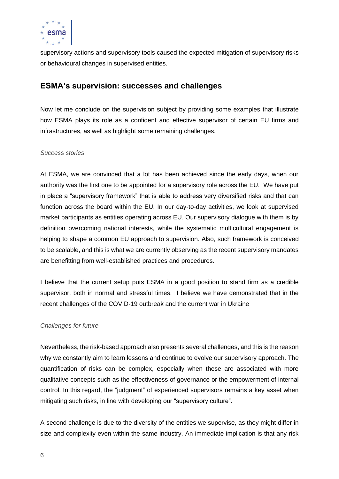

supervisory actions and supervisory tools caused the expected mitigation of supervisory risks or behavioural changes in supervised entities.

### **ESMA's supervision: successes and challenges**

Now let me conclude on the supervision subject by providing some examples that illustrate how ESMA plays its role as a confident and effective supervisor of certain EU firms and infrastructures, as well as highlight some remaining challenges.

#### *Success stories*

At ESMA, we are convinced that a lot has been achieved since the early days, when our authority was the first one to be appointed for a supervisory role across the EU. We have put in place a "supervisory framework" that is able to address very diversified risks and that can function across the board within the EU. In our day-to-day activities, we look at supervised market participants as entities operating across EU. Our supervisory dialogue with them is by definition overcoming national interests, while the systematic multicultural engagement is helping to shape a common EU approach to supervision. Also, such framework is conceived to be scalable, and this is what we are currently observing as the recent supervisory mandates are benefitting from well-established practices and procedures.

I believe that the current setup puts ESMA in a good position to stand firm as a credible supervisor, both in normal and stressful times. I believe we have demonstrated that in the recent challenges of the COVID-19 outbreak and the current war in Ukraine

#### *Challenges for future*

Nevertheless, the risk-based approach also presents several challenges, and this is the reason why we constantly aim to learn lessons and continue to evolve our supervisory approach. The quantification of risks can be complex, especially when these are associated with more qualitative concepts such as the effectiveness of governance or the empowerment of internal control. In this regard, the "judgment" of experienced supervisors remains a key asset when mitigating such risks, in line with developing our "supervisory culture".

A second challenge is due to the diversity of the entities we supervise, as they might differ in size and complexity even within the same industry. An immediate implication is that any risk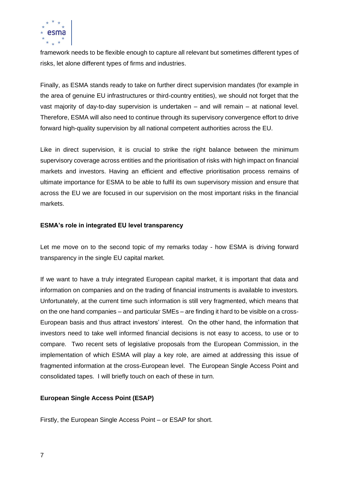

framework needs to be flexible enough to capture all relevant but sometimes different types of risks, let alone different types of firms and industries.

Finally, as ESMA stands ready to take on further direct supervision mandates (for example in the area of genuine EU infrastructures or third-country entities), we should not forget that the vast majority of day-to-day supervision is undertaken – and will remain – at national level. Therefore, ESMA will also need to continue through its supervisory convergence effort to drive forward high-quality supervision by all national competent authorities across the EU.

Like in direct supervision, it is crucial to strike the right balance between the minimum supervisory coverage across entities and the prioritisation of risks with high impact on financial markets and investors. Having an efficient and effective prioritisation process remains of ultimate importance for ESMA to be able to fulfil its own supervisory mission and ensure that across the EU we are focused in our supervision on the most important risks in the financial markets.

### **ESMA's role in integrated EU level transparency**

Let me move on to the second topic of my remarks today - how ESMA is driving forward transparency in the single EU capital market.

If we want to have a truly integrated European capital market, it is important that data and information on companies and on the trading of financial instruments is available to investors. Unfortunately, at the current time such information is still very fragmented, which means that on the one hand companies – and particular SMEs – are finding it hard to be visible on a cross-European basis and thus attract investors' interest. On the other hand, the information that investors need to take well informed financial decisions is not easy to access, to use or to compare. Two recent sets of legislative proposals from the European Commission, in the implementation of which ESMA will play a key role, are aimed at addressing this issue of fragmented information at the cross-European level. The European Single Access Point and consolidated tapes. I will briefly touch on each of these in turn.

### **European Single Access Point (ESAP)**

Firstly, the European Single Access Point – or ESAP for short.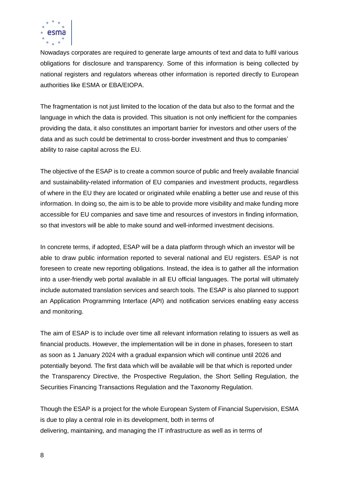

Nowadays corporates are required to generate large amounts of text and data to fulfil various obligations for disclosure and transparency. Some of this information is being collected by national registers and regulators whereas other information is reported directly to European authorities like ESMA or EBA/EIOPA.

The fragmentation is not just limited to the location of the data but also to the format and the language in which the data is provided. This situation is not only inefficient for the companies providing the data, it also constitutes an important barrier for investors and other users of the data and as such could be detrimental to cross-border investment and thus to companies' ability to raise capital across the EU.

The objective of the ESAP is to create a common source of public and freely available financial and sustainability-related information of EU companies and investment products, regardless of where in the EU they are located or originated while enabling a better use and reuse of this information. In doing so, the aim is to be able to provide more visibility and make funding more accessible for EU companies and save time and resources of investors in finding information, so that investors will be able to make sound and well-informed investment decisions.

In concrete terms, if adopted, ESAP will be a data platform through which an investor will be able to draw public information reported to several national and EU registers. ESAP is not foreseen to create new reporting obligations. Instead, the idea is to gather all the information into a user-friendly web portal available in all EU official languages. The portal will ultimately include automated translation services and search tools. The ESAP is also planned to support an Application Programming Interface (API) and notification services enabling easy access and monitoring.

The aim of ESAP is to include over time all relevant information relating to issuers as well as financial products. However, the implementation will be in done in phases, foreseen to start as soon as 1 January 2024 with a gradual expansion which will continue until 2026 and potentially beyond. The first data which will be available will be that which is reported under the Transparency Directive, the Prospective Regulation, the Short Selling Regulation, the Securities Financing Transactions Regulation and the Taxonomy Regulation.

Though the ESAP is a project for the whole European System of Financial Supervision, ESMA is due to play a central role in its development, both in terms of delivering, maintaining, and managing the IT infrastructure as well as in terms of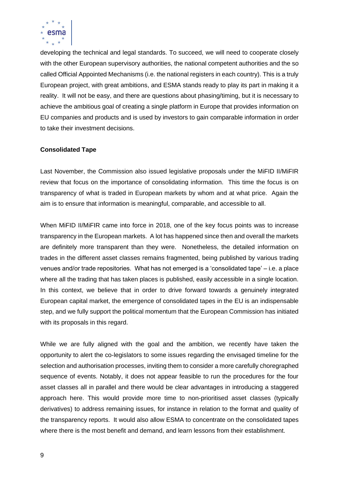

developing the technical and legal standards. To succeed, we will need to cooperate closely with the other European supervisory authorities, the national competent authorities and the so called Official Appointed Mechanisms (i.e. the national registers in each country). This is a truly European project, with great ambitions, and ESMA stands ready to play its part in making it a reality. It will not be easy, and there are questions about phasing/timing, but it is necessary to achieve the ambitious goal of creating a single platform in Europe that provides information on EU companies and products and is used by investors to gain comparable information in order to take their investment decisions.

#### **Consolidated Tape**

Last November, the Commission also issued legislative proposals under the MiFID II/MiFIR review that focus on the importance of consolidating information. This time the focus is on transparency of what is traded in European markets by whom and at what price. Again the aim is to ensure that information is meaningful, comparable, and accessible to all.

When MiFID II/MiFIR came into force in 2018, one of the key focus points was to increase transparency in the European markets. A lot has happened since then and overall the markets are definitely more transparent than they were. Nonetheless, the detailed information on trades in the different asset classes remains fragmented, being published by various trading venues and/or trade repositories. What has not emerged is a 'consolidated tape' – i.e. a place where all the trading that has taken places is published, easily accessible in a single location. In this context, we believe that in order to drive forward towards a genuinely integrated European capital market, the emergence of consolidated tapes in the EU is an indispensable step, and we fully support the political momentum that the European Commission has initiated with its proposals in this regard.

While we are fully aligned with the goal and the ambition, we recently have taken the opportunity to alert the co-legislators to some issues regarding the envisaged timeline for the selection and authorisation processes, inviting them to consider a more carefully choregraphed sequence of events. Notably, it does not appear feasible to run the procedures for the four asset classes all in parallel and there would be clear advantages in introducing a staggered approach here. This would provide more time to non-prioritised asset classes (typically derivatives) to address remaining issues, for instance in relation to the format and quality of the transparency reports. It would also allow ESMA to concentrate on the consolidated tapes where there is the most benefit and demand, and learn lessons from their establishment.